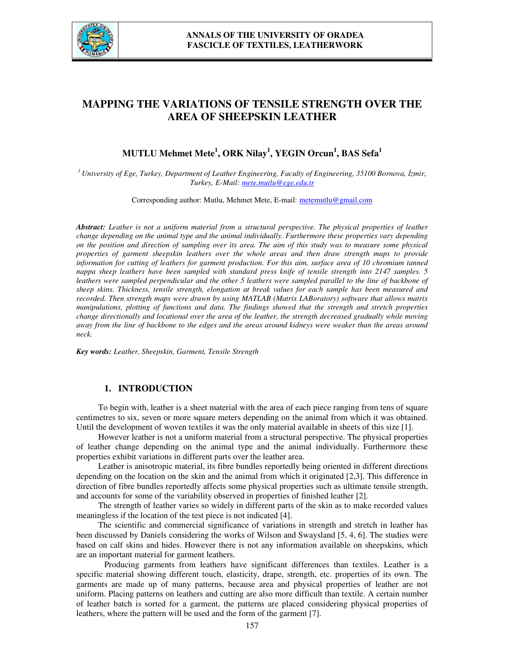

# **MAPPING THE VARIATIONS OF TENSILE STRENGTH OVER THE AREA OF SHEEPSKIN LEATHER**

## **MUTLU Mehmet Mete<sup>1</sup> , ORK Nilay<sup>1</sup> , YEGIN Orcun<sup>1</sup> , BAS Sefa<sup>1</sup>**

*<sup>1</sup>University of Ege, Turkey, Department of Leather Engineering, Faculty of Engineering, 35100 Bornova, İzmir, Turkey, E-Mail: mete.mutlu@ege.edu.tr*

Corresponding author: Mutlu, Mehmet Mete, E-mail: metemutlu@gmail.com

*Abstract: Leather is not a uniform material from a structural perspective. The physical properties of leather change depending on the animal type and the animal individually. Furthermore these properties vary depending on the position and direction of sampling over its area. The aim of this study was to measure some physical properties of garment sheepskin leathers over the whole areas and then draw strength maps to provide information for cutting of leathers for garment production. For this aim, surface area of 10 chromium tanned nappa sheep leathers have been sampled with standard press knife of tensile strength into 2147 samples. 5 leathers were sampled perpendicular and the other 5 leathers were sampled parallel to the line of backbone of sheep skins. Thickness, tensile strength, elongation at break values for each sample has been measured and recorded. Then strength maps were drawn by using MATLAB (Matrix LABoratory) software that allows matrix manipulations, plotting of functions and data. The findings showed that the strength and stretch properties change directionally and locational over the area of the leather, the strength decreased gradually while moving away from the line of backbone to the edges and the areas around kidneys were weaker than the areas around neck.* 

*Key words: Leather, Sheepskin, Garment, Tensile Strength*

### **1. INTRODUCTION**

To begin with, leather is a sheet material with the area of each piece ranging from tens of square centimetres to six, seven or more square meters depending on the animal from which it was obtained. Until the development of woven textiles it was the only material available in sheets of this size [1].

However leather is not a uniform material from a structural perspective. The physical properties of leather change depending on the animal type and the animal individually. Furthermore these properties exhibit variations in different parts over the leather area.

Leather is anisotropic material, its fibre bundles reportedly being oriented in different directions depending on the location on the skin and the animal from which it originated [2,3]. This difference in direction of fibre bundles reportedly affects some physical properties such as ultimate tensile strength, and accounts for some of the variability observed in properties of finished leather [2].

The strength of leather varies so widely in different parts of the skin as to make recorded values meaningless if the location of the test piece is not indicated [4].

The scientific and commercial significance of variations in strength and stretch in leather has been discussed by Daniels considering the works of Wilson and Swaysland [5, 4, 6]. The studies were based on calf skins and hides. However there is not any information available on sheepskins, which are an important material for garment leathers.

 Producing garments from leathers have significant differences than textiles. Leather is a specific material showing different touch, elasticity, drape, strength, etc. properties of its own. The garments are made up of many patterns, because area and physical properties of leather are not uniform. Placing patterns on leathers and cutting are also more difficult than textile. A certain number of leather batch is sorted for a garment, the patterns are placed considering physical properties of leathers, where the pattern will be used and the form of the garment [7].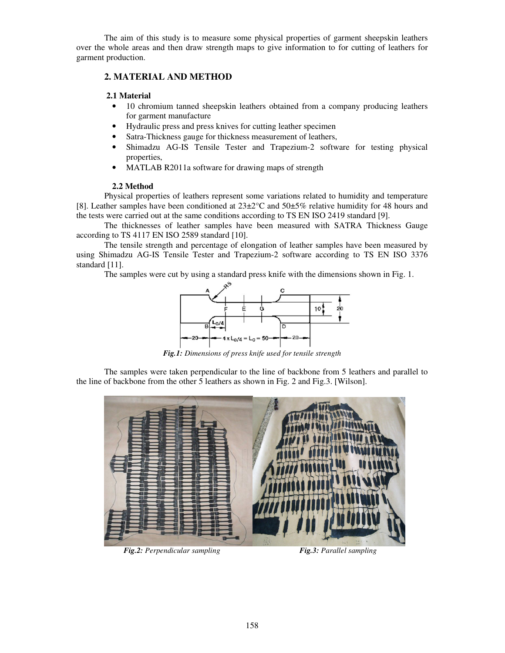The aim of this study is to measure some physical properties of garment sheepskin leathers over the whole areas and then draw strength maps to give information to for cutting of leathers for garment production.

### **2. MATERIAL AND METHOD**

### **2.1 Material**

- 10 chromium tanned sheepskin leathers obtained from a company producing leathers for garment manufacture
- Hydraulic press and press knives for cutting leather specimen
- Satra-Thickness gauge for thickness measurement of leathers,
- Shimadzu AG-IS Tensile Tester and Trapezium-2 software for testing physical properties,
- MATLAB R2011a software for drawing maps of strength

### **2.2 Method**

Physical properties of leathers represent some variations related to humidity and temperature [8]. Leather samples have been conditioned at 23±2°C and 50±5% relative humidity for 48 hours and the tests were carried out at the same conditions according to TS EN ISO 2419 standard [9].

The thicknesses of leather samples have been measured with SATRA Thickness Gauge according to TS 4117 EN ISO 2589 standard [10].

The tensile strength and percentage of elongation of leather samples have been measured by using Shimadzu AG-IS Tensile Tester and Trapezium-2 software according to TS EN ISO 3376 standard [11].

The samples were cut by using a standard press knife with the dimensions shown in Fig. 1.



*Fig.1: Dimensions of press knife used for tensile strength* 

The samples were taken perpendicular to the line of backbone from 5 leathers and parallel to the line of backbone from the other 5 leathers as shown in Fig. 2 and Fig.3. [Wilson].



 *Fig.2: Perpendicular sampling Fig.3: Parallel sampling*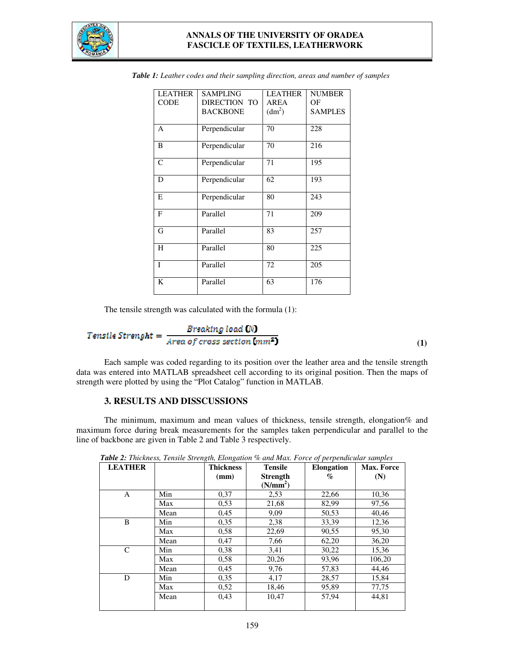

### **ANNALS OF THE UNIVERSITY OF ORADEA FASCICLE OF TEXTILES, LEATHERWORK**

| <b>LEATHER</b> | <b>SAMPLING</b> | <b>LEATHER</b>     | <b>NUMBER</b>  |
|----------------|-----------------|--------------------|----------------|
| <b>CODE</b>    | DIRECTION TO    | <b>AREA</b>        | ΟF             |
|                | <b>BACKBONE</b> | (dm <sup>2</sup> ) | <b>SAMPLES</b> |
|                |                 |                    |                |
| A              | Perpendicular   | 70                 | 228            |
| B              | Perpendicular   | 70                 | 216            |
|                |                 |                    |                |
| C              | Perpendicular   | 71                 | 195            |
| D              | Perpendicular   | 62                 | 193            |
|                |                 |                    |                |
| E              | Perpendicular   | 80                 | 243            |
| $\mathbf{F}$   | Parallel        | 71                 | 209            |
|                |                 |                    |                |
| G              | Parallel        | 83                 | 257            |
| H              | Parallel        | 80                 | 225            |
|                |                 |                    |                |
| T              | Parallel        | 72                 | 205            |
| K              | Parallel        | 63                 | 176            |
|                |                 |                    |                |

*Table 1: Leather codes and their sampling direction, areas and number of samples* 

The tensile strength was calculated with the formula (1):

$$
Tensile Strength = \frac{Brsaking load (N)}{Area of cross section (mm2)}
$$

Each sample was coded regarding to its position over the leather area and the tensile strength data was entered into MATLAB spreadsheet cell according to its original position. Then the maps of strength were plotted by using the "Plot Catalog" function in MATLAB.

**(1)** 

### **3. RESULTS AND DISSCUSSIONS**

 The minimum, maximum and mean values of thickness, tensile strength, elongation% and maximum force during break measurements for the samples taken perpendicular and parallel to the line of backbone are given in Table 2 and Table 3 respectively.

| <b>LEATHER</b> |      | <b>Thickness</b><br>(mm) | <b>Tensile</b><br><b>Strength</b> | $J_{\perp}$<br>$\overline{ }$<br><b>Elongation</b><br>% | <b>Max. Force</b><br>(N) |
|----------------|------|--------------------------|-----------------------------------|---------------------------------------------------------|--------------------------|
|                |      |                          | (N/mm <sup>2</sup> )              |                                                         |                          |
| A              | Min  | 0,37                     | 2,53                              | 22,66                                                   | 10,36                    |
|                | Max  | 0,53                     | 21,68                             | 82,99                                                   | 97,56                    |
|                | Mean | 0.45                     | 9,09                              | 50,53                                                   | 40,46                    |
| B              | Min  | 0.35                     | 2,38                              | 33,39                                                   | 12,36                    |
|                | Max  | 0.58                     | 22,69                             | 90,55                                                   | 95,30                    |
|                | Mean | 0.47                     | 7,66                              | 62,20                                                   | 36,20                    |
| C              | Min  | 0.38                     | 3,41                              | 30,22                                                   | 15,36                    |
|                | Max  | 0,58                     | 20,26                             | 93,96                                                   | 106,20                   |
|                | Mean | 0.45                     | 9,76                              | 57,83                                                   | 44,46                    |
| D              | Min  | 0.35                     | 4,17                              | 28,57                                                   | 15,84                    |
|                | Max  | 0,52                     | 18,46                             | 95,89                                                   | 77,75                    |
|                | Mean | 0.43                     | 10,47                             | 57,94                                                   | 44,81                    |
|                |      |                          |                                   |                                                         |                          |

*Table 2: Thickness, Tensile Strength, Elongation % and Max. Force of perpendicular samples*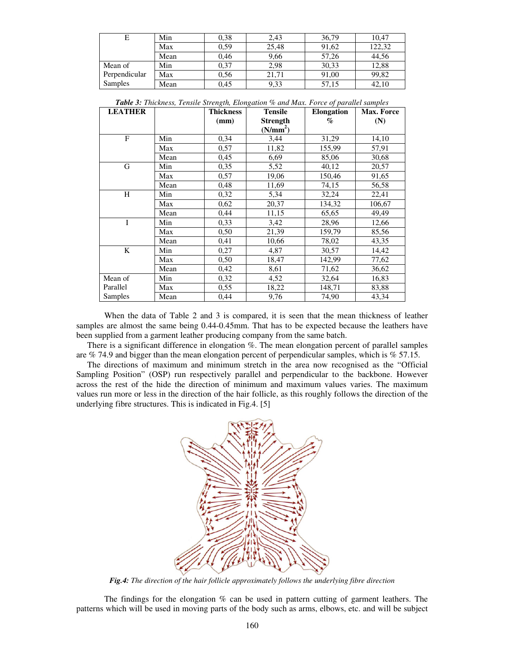|               | Min  | 0,38 | 2,43  | 36,79 | 10,47  |
|---------------|------|------|-------|-------|--------|
|               | Max  | 0.59 | 25.48 | 91,62 | 122.32 |
|               | Mean | 0.46 | 9,66  | 57.26 | 44.56  |
| Mean of       | Min  | 0,37 | 2,98  | 30,33 | 12,88  |
| Perpendicular | Max  | 0,56 | 21.71 | 91,00 | 99,82  |
| Samples       | Mean | 0,45 | 9.33  | 57,15 | 42,10  |

| <b>LEATHER</b> |      | <b>Thickness</b> | <b>Tensile</b>       | <b>Elongation</b> | Max. Force |
|----------------|------|------------------|----------------------|-------------------|------------|
|                |      | (mm)             | <b>Strength</b>      | $\%$              | (N)        |
|                |      |                  | (N/mm <sup>2</sup> ) |                   |            |
| $\overline{F}$ | Min  | 0,34             | 3,44                 | 31,29             | 14,10      |
|                | Max  | 0,57             | 11,82                | 155,99            | 57,91      |
|                | Mean | 0,45             | 6,69                 | 85,06             | 30,68      |
| G              | Min  | 0.35             | 5,52                 | 40,12             | 20,57      |
|                | Max  | 0,57             | 19,06                | 150,46            | 91,65      |
|                | Mean | 0,48             | 11,69                | 74,15             | 56,58      |
| H              | Min  | 0,32             | 5,34                 | 32,24             | 22,41      |
|                | Max  | 0,62             | 20,37                | 134,32            | 106,67     |
|                | Mean | 0,44             | 11,15                | 65,65             | 49,49      |
| T              | Min  | 0,33             | 3,42                 | 28,96             | 12,66      |
|                | Max  | 0,50             | 21,39                | 159,79            | 85,56      |
|                | Mean | 0,41             | 10,66                | 78,02             | 43,35      |
| $\bf K$        | Min  | 0,27             | 4,87                 | 30,57             | 14,42      |
|                | Max  | 0,50             | 18,47                | 142,99            | 77,62      |
|                | Mean | 0,42             | 8,61                 | 71,62             | 36,62      |
| Mean of        | Min  | 0,32             | 4,52                 | 32,64             | 16,83      |
| Parallel       | Max  | 0,55             | 18,22                | 148,71            | 83,88      |
| Samples        | Mean | 0,44             | 9,76                 | 74,90             | 43,34      |

*Table 3: Thickness, Tensile Strength, Elongation % and Max. Force of parallel samples*

 When the data of Table 2 and 3 is compared, it is seen that the mean thickness of leather samples are almost the same being 0.44-0.45mm. That has to be expected because the leathers have been supplied from a garment leather producing company from the same batch.

 There is a significant difference in elongation %. The mean elongation percent of parallel samples are % 74.9 and bigger than the mean elongation percent of perpendicular samples, which is % 57.15.

 The directions of maximum and minimum stretch in the area now recognised as the "Official Sampling Position" (OSP) run respectively parallel and perpendicular to the backbone. However across the rest of the hide the direction of minimum and maximum values varies. The maximum values run more or less in the direction of the hair follicle, as this roughly follows the direction of the underlying fibre structures. This is indicated in Fig.4. [5]



*Fig.4: The direction of the hair follicle approximately follows the underlying fibre direction* 

The findings for the elongation  $%$  can be used in pattern cutting of garment leathers. The patterns which will be used in moving parts of the body such as arms, elbows, etc. and will be subject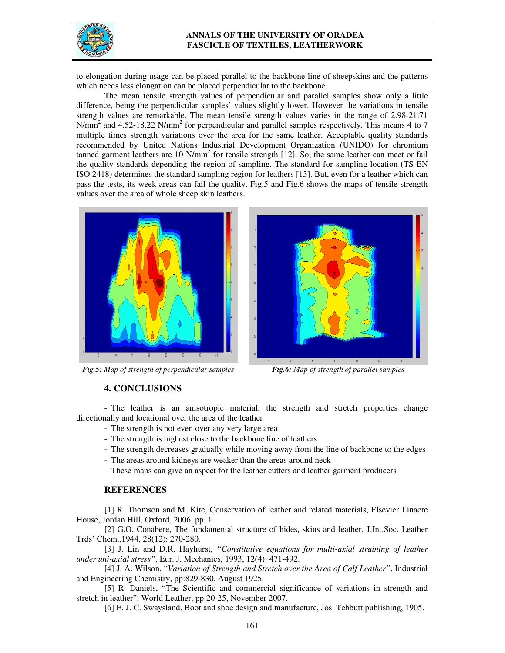

### **ANNALS OF THE UNIVERSITY OF ORADEA FASCICLE OF TEXTILES, LEATHERWORK**

to elongation during usage can be placed parallel to the backbone line of sheepskins and the patterns which needs less elongation can be placed perpendicular to the backbone.

 The mean tensile strength values of perpendicular and parallel samples show only a little difference, being the perpendicular samples' values slightly lower. However the variations in tensile strength values are remarkable. The mean tensile strength values varies in the range of 2.98-21.71 N/mm<sup>2</sup> and 4.52-18.22 N/mm<sup>2</sup> for perpendicular and parallel samples respectively. This means 4 to 7 multiple times strength variations over the area for the same leather. Acceptable quality standards recommended by United Nations Industrial Development Organization (UNIDO) for chromium tanned garment leathers are 10  $N/mm^2$  for tensile strength [12]. So, the same leather can meet or fail the quality standards depending the region of sampling. The standard for sampling location (TS EN ISO 2418) determines the standard sampling region for leathers [13]. But, even for a leather which can pass the tests, its week areas can fail the quality. Fig.5 and Fig.6 shows the maps of tensile strength values over the area of whole sheep skin leathers.



*Fig.5: Map of strength of perpendicular samples Fig.6: Map of strength of parallel samples* 



#### **4. CONCLUSIONS**

- The leather is an anisotropic material, the strength and stretch properties change directionally and locational over the area of the leather

- The strength is not even over any very large area
- The strength is highest close to the backbone line of leathers
- The strength decreases gradually while moving away from the line of backbone to the edges
- The areas around kidneys are weaker than the areas around neck
- These maps can give an aspect for the leather cutters and leather garment producers

#### **REFERENCES**

 [1] R. Thomson and M. Kite, Conservation of leather and related materials, Elsevier Linacre House, Jordan Hill, Oxford, 2006, pp. 1.

 [2] G.O. Conabere, The fundamental structure of hides, skins and leather. J.Int.Soc. Leather Trds' Chem.,1944, 28(12): 270-280.

 [3] J. Lin and D.R. Hayhurst, *"Constitutive equations for multi-axial straining of leather under uni-axial stress"*, Eur. J. Mechanics, 1993, 12(4): 471-492.

 [4] J. A. Wilson, "*Variation of Strength and Stretch over the Area of Calf Leather"*, Industrial and Engineering Chemistry, pp:829-830, August 1925.

 [5] R. Daniels, "The Scientific and commercial significance of variations in strength and stretch in leather", World Leather, pp:20-25, November 2007.

[6] E. J. C. Swaysland, Boot and shoe design and manufacture, Jos. Tebbutt publishing, 1905.